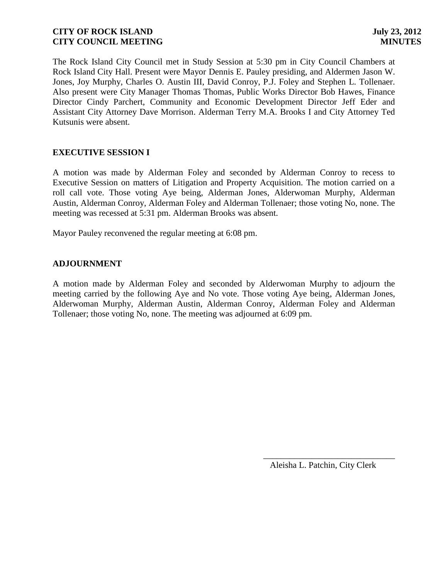The Rock Island City Council met in Study Session at 5:30 pm in City Council Chambers at Rock Island City Hall. Present were Mayor Dennis E. Pauley presiding, and Aldermen Jason W. Jones, Joy Murphy, Charles O. Austin III, David Conroy, P.J. Foley and Stephen L. Tollenaer. Also present were City Manager Thomas Thomas, Public Works Director Bob Hawes, Finance Director Cindy Parchert, Community and Economic Development Director Jeff Eder and Assistant City Attorney Dave Morrison. Alderman Terry M.A. Brooks I and City Attorney Ted Kutsunis were absent.

## **EXECUTIVE SESSION I**

A motion was made by Alderman Foley and seconded by Alderman Conroy to recess to Executive Session on matters of Litigation and Property Acquisition. The motion carried on a roll call vote. Those voting Aye being, Alderman Jones, Alderwoman Murphy, Alderman Austin, Alderman Conroy, Alderman Foley and Alderman Tollenaer; those voting No, none. The meeting was recessed at 5:31 pm. Alderman Brooks was absent.

Mayor Pauley reconvened the regular meeting at 6:08 pm.

#### **ADJOURNMENT**

A motion made by Alderman Foley and seconded by Alderwoman Murphy to adjourn the meeting carried by the following Aye and No vote. Those voting Aye being, Alderman Jones, Alderwoman Murphy, Alderman Austin, Alderman Conroy, Alderman Foley and Alderman Tollenaer; those voting No, none. The meeting was adjourned at 6:09 pm.

Aleisha L. Patchin, City Clerk

\_\_\_\_\_\_\_\_\_\_\_\_\_\_\_\_\_\_\_\_\_\_\_\_\_\_\_\_\_\_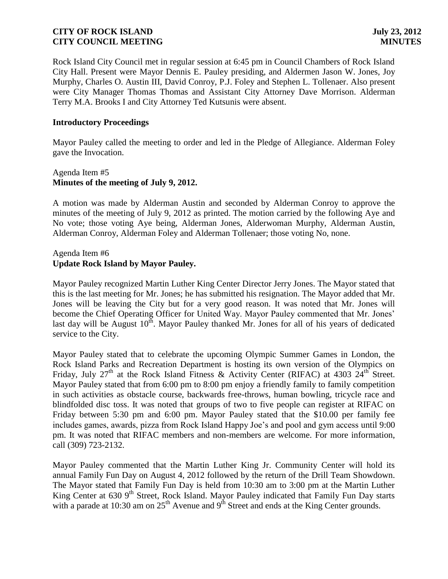Rock Island City Council met in regular session at 6:45 pm in Council Chambers of Rock Island City Hall. Present were Mayor Dennis E. Pauley presiding, and Aldermen Jason W. Jones, Joy Murphy, Charles O. Austin III, David Conroy, P.J. Foley and Stephen L. Tollenaer. Also present were City Manager Thomas Thomas and Assistant City Attorney Dave Morrison. Alderman Terry M.A. Brooks I and City Attorney Ted Kutsunis were absent.

#### **Introductory Proceedings**

Mayor Pauley called the meeting to order and led in the Pledge of Allegiance. Alderman Foley gave the Invocation.

### Agenda Item #5 **Minutes of the meeting of July 9, 2012.**

A motion was made by Alderman Austin and seconded by Alderman Conroy to approve the minutes of the meeting of July 9, 2012 as printed. The motion carried by the following Aye and No vote; those voting Aye being, Alderman Jones, Alderwoman Murphy, Alderman Austin, Alderman Conroy, Alderman Foley and Alderman Tollenaer; those voting No, none.

### Agenda Item #6 **Update Rock Island by Mayor Pauley.**

Mayor Pauley recognized Martin Luther King Center Director Jerry Jones. The Mayor stated that this is the last meeting for Mr. Jones; he has submitted his resignation. The Mayor added that Mr. Jones will be leaving the City but for a very good reason. It was noted that Mr. Jones will become the Chief Operating Officer for United Way. Mayor Pauley commented that Mr. Jones' last day will be August  $10^{th}$ . Mayor Pauley thanked Mr. Jones for all of his years of dedicated service to the City.

Mayor Pauley stated that to celebrate the upcoming Olympic Summer Games in London, the Rock Island Parks and Recreation Department is hosting its own version of the Olympics on Friday, July 27<sup>th</sup> at the Rock Island Fitness & Activity Center (RIFAC) at 4303 24<sup>th</sup> Street. Mayor Pauley stated that from 6:00 pm to 8:00 pm enjoy a friendly family to family competition in such activities as obstacle course, backwards free-throws, human bowling, tricycle race and blindfolded disc toss. It was noted that groups of two to five people can register at RIFAC on Friday between 5:30 pm and 6:00 pm. Mayor Pauley stated that the \$10.00 per family fee includes games, awards, pizza from Rock Island Happy Joe's and pool and gym access until 9:00 pm. It was noted that RIFAC members and non-members are welcome. For more information, call (309) 723-2132.

Mayor Pauley commented that the Martin Luther King Jr. Community Center will hold its annual Family Fun Day on August 4, 2012 followed by the return of the Drill Team Showdown. The Mayor stated that Family Fun Day is held from 10:30 am to 3:00 pm at the Martin Luther King Center at 630 9<sup>th</sup> Street, Rock Island. Mayor Pauley indicated that Family Fun Day starts with a parade at  $10:30$  am on  $25<sup>th</sup>$  Avenue and  $9<sup>th</sup>$  Street and ends at the King Center grounds.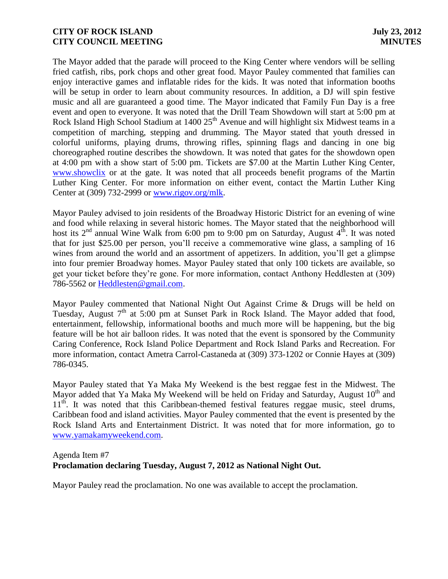The Mayor added that the parade will proceed to the King Center where vendors will be selling fried catfish, ribs, pork chops and other great food. Mayor Pauley commented that families can enjoy interactive games and inflatable rides for the kids. It was noted that information booths will be setup in order to learn about community resources. In addition, a DJ will spin festive music and all are guaranteed a good time. The Mayor indicated that Family Fun Day is a free event and open to everyone. It was noted that the Drill Team Showdown will start at 5:00 pm at Rock Island High School Stadium at  $1400 \times 25^{th}$  Avenue and will highlight six Midwest teams in a competition of marching, stepping and drumming. The Mayor stated that youth dressed in colorful uniforms, playing drums, throwing rifles, spinning flags and dancing in one big choreographed routine describes the showdown. It was noted that gates for the showdown open at 4:00 pm with a show start of 5:00 pm. Tickets are \$7.00 at the Martin Luther King Center, [www.showclix](http://www.showclix/) or at the gate. It was noted that all proceeds benefit programs of the Martin Luther King Center. For more information on either event, contact the Martin Luther King Center at (309) 732-2999 or [www.rigov.org/mlk.](http://www.rigov.org/mlk)

Mayor Pauley advised to join residents of the Broadway Historic District for an evening of wine and food while relaxing in several historic homes. The Mayor stated that the neighborhood will host its  $2^{nd}$  annual Wine Walk from 6:00 pm to 9:00 pm on Saturday, August  $4^{th}$ . It was noted that for just \$25.00 per person, you'll receive a commemorative wine glass, a sampling of 16 wines from around the world and an assortment of appetizers. In addition, you'll get a glimpse into four premier Broadway homes. Mayor Pauley stated that only 100 tickets are available, so get your ticket before they're gone. For more information, contact Anthony Heddlesten at (309) 786-5562 or [Heddlesten@gmail.com.](mailto:Heddlesten@gmail.com)

Mayor Pauley commented that National Night Out Against Crime & Drugs will be held on Tuesday, August  $7<sup>th</sup>$  at 5:00 pm at Sunset Park in Rock Island. The Mayor added that food, entertainment, fellowship, informational booths and much more will be happening, but the big feature will be hot air balloon rides. It was noted that the event is sponsored by the Community Caring Conference, Rock Island Police Department and Rock Island Parks and Recreation. For more information, contact Ametra Carrol-Castaneda at (309) 373-1202 or Connie Hayes at (309) 786-0345.

Mayor Pauley stated that Ya Maka My Weekend is the best reggae fest in the Midwest. The Mayor added that Ya Maka My Weekend will be held on Friday and Saturday, August  $10<sup>th</sup>$  and 11<sup>th</sup>. It was noted that this Caribbean-themed festival features reggae music, steel drums, Caribbean food and island activities. Mayor Pauley commented that the event is presented by the Rock Island Arts and Entertainment District. It was noted that for more information, go to [www.yamakamyweekend.com.](http://www.yamakamyweekend.com/)

## Agenda Item #7 **Proclamation declaring Tuesday, August 7, 2012 as National Night Out.**

Mayor Pauley read the proclamation. No one was available to accept the proclamation.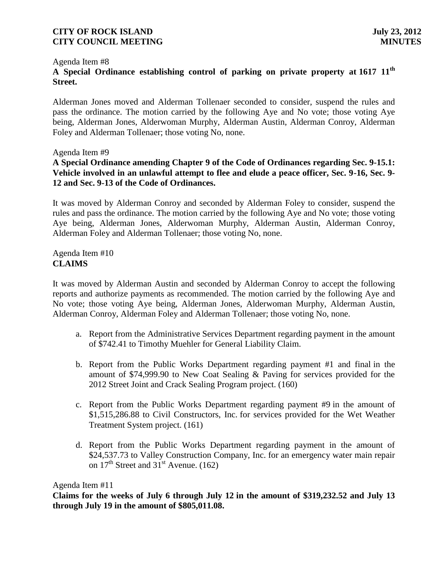#### Agenda Item #8

# **A Special Ordinance establishing control of parking on private property at 1617 11th Street.**

Alderman Jones moved and Alderman Tollenaer seconded to consider, suspend the rules and pass the ordinance. The motion carried by the following Aye and No vote; those voting Aye being, Alderman Jones, Alderwoman Murphy, Alderman Austin, Alderman Conroy, Alderman Foley and Alderman Tollenaer; those voting No, none.

#### Agenda Item #9

**A Special Ordinance amending Chapter 9 of the Code of Ordinances regarding Sec. 9-15.1: Vehicle involved in an unlawful attempt to flee and elude a peace officer, Sec. 9-16, Sec. 9- 12 and Sec. 9-13 of the Code of Ordinances.**

It was moved by Alderman Conroy and seconded by Alderman Foley to consider, suspend the rules and pass the ordinance. The motion carried by the following Aye and No vote; those voting Aye being, Alderman Jones, Alderwoman Murphy, Alderman Austin, Alderman Conroy, Alderman Foley and Alderman Tollenaer; those voting No, none.

Agenda Item #10 **CLAIMS**

It was moved by Alderman Austin and seconded by Alderman Conroy to accept the following reports and authorize payments as recommended. The motion carried by the following Aye and No vote; those voting Aye being, Alderman Jones, Alderwoman Murphy, Alderman Austin, Alderman Conroy, Alderman Foley and Alderman Tollenaer; those voting No, none.

- a. Report from the Administrative Services Department regarding payment in the amount of \$742.41 to Timothy Muehler for General Liability Claim.
- b. Report from the Public Works Department regarding payment #1 and final in the amount of \$74,999.90 to New Coat Sealing & Paving for services provided for the 2012 Street Joint and Crack Sealing Program project. (160)
- c. Report from the Public Works Department regarding payment #9 in the amount of \$1,515,286.88 to Civil Constructors, Inc. for services provided for the Wet Weather Treatment System project. (161)
- d. Report from the Public Works Department regarding payment in the amount of \$24,537.73 to Valley Construction Company, Inc. for an emergency water main repair on  $17<sup>th</sup>$  Street and  $31<sup>st</sup>$  Avenue. (162)

#### Agenda Item #11

**Claims for the weeks of July 6 through July 12 in the amount of \$319,232.52 and July 13 through July 19 in the amount of \$805,011.08.**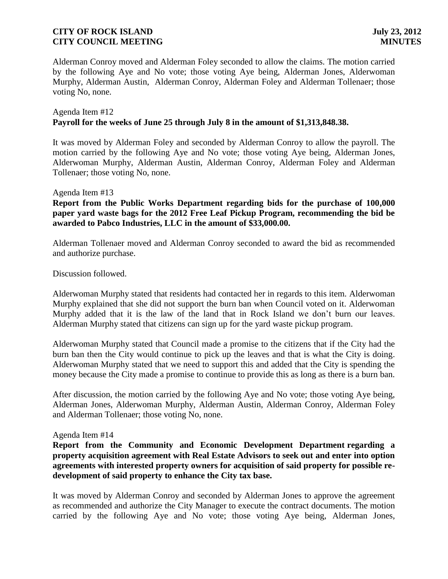Alderman Conroy moved and Alderman Foley seconded to allow the claims. The motion carried by the following Aye and No vote; those voting Aye being, Alderman Jones, Alderwoman Murphy, Alderman Austin, Alderman Conroy, Alderman Foley and Alderman Tollenaer; those voting No, none.

### Agenda Item #12 **Payroll for the weeks of June 25 through July 8 in the amount of \$1,313,848.38.**

It was moved by Alderman Foley and seconded by Alderman Conroy to allow the payroll. The motion carried by the following Aye and No vote; those voting Aye being, Alderman Jones, Alderwoman Murphy, Alderman Austin, Alderman Conroy, Alderman Foley and Alderman Tollenaer; those voting No, none.

#### Agenda Item #13

**Report from the Public Works Department regarding bids for the purchase of 100,000 paper yard waste bags for the 2012 Free Leaf Pickup Program, recommending the bid be awarded to Pabco Industries, LLC in the amount of \$33,000.00.**

Alderman Tollenaer moved and Alderman Conroy seconded to award the bid as recommended and authorize purchase.

Discussion followed.

Alderwoman Murphy stated that residents had contacted her in regards to this item. Alderwoman Murphy explained that she did not support the burn ban when Council voted on it. Alderwoman Murphy added that it is the law of the land that in Rock Island we don't burn our leaves. Alderman Murphy stated that citizens can sign up for the yard waste pickup program.

Alderwoman Murphy stated that Council made a promise to the citizens that if the City had the burn ban then the City would continue to pick up the leaves and that is what the City is doing. Alderwoman Murphy stated that we need to support this and added that the City is spending the money because the City made a promise to continue to provide this as long as there is a burn ban.

After discussion, the motion carried by the following Aye and No vote; those voting Aye being, Alderman Jones, Alderwoman Murphy, Alderman Austin, Alderman Conroy, Alderman Foley and Alderman Tollenaer; those voting No, none.

#### Agenda Item #14

**Report from the Community and Economic Development Department regarding a property acquisition agreement with Real Estate Advisors to seek out and enter into option agreements with interested property owners for acquisition of said property for possible redevelopment of said property to enhance the City tax base.**

It was moved by Alderman Conroy and seconded by Alderman Jones to approve the agreement as recommended and authorize the City Manager to execute the contract documents. The motion carried by the following Aye and No vote; those voting Aye being, Alderman Jones,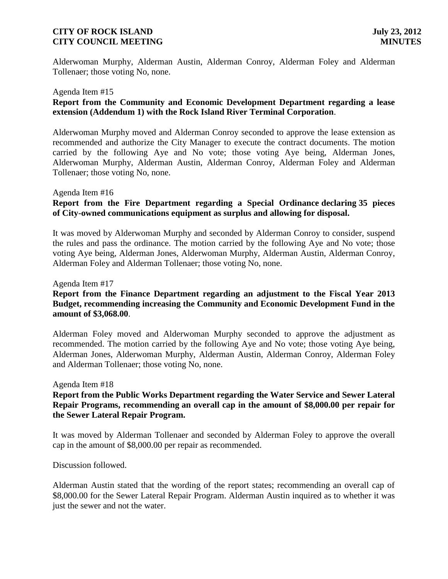Alderwoman Murphy, Alderman Austin, Alderman Conroy, Alderman Foley and Alderman Tollenaer; those voting No, none.

#### Agenda Item #15

## **Report from the Community and Economic Development Department regarding a lease extension (Addendum 1) with the Rock Island River Terminal Corporation**.

Alderwoman Murphy moved and Alderman Conroy seconded to approve the lease extension as recommended and authorize the City Manager to execute the contract documents. The motion carried by the following Aye and No vote; those voting Aye being, Alderman Jones, Alderwoman Murphy, Alderman Austin, Alderman Conroy, Alderman Foley and Alderman Tollenaer; those voting No, none.

#### Agenda Item #16

### **Report from the Fire Department regarding a Special Ordinance declaring 35 pieces of City-owned communications equipment as surplus and allowing for disposal.**

It was moved by Alderwoman Murphy and seconded by Alderman Conroy to consider, suspend the rules and pass the ordinance. The motion carried by the following Aye and No vote; those voting Aye being, Alderman Jones, Alderwoman Murphy, Alderman Austin, Alderman Conroy, Alderman Foley and Alderman Tollenaer; those voting No, none.

#### Agenda Item #17

## **Report from the Finance Department regarding an adjustment to the Fiscal Year 2013 Budget, recommending increasing the Community and Economic Development Fund in the amount of \$3,068.00**.

Alderman Foley moved and Alderwoman Murphy seconded to approve the adjustment as recommended. The motion carried by the following Aye and No vote; those voting Aye being, Alderman Jones, Alderwoman Murphy, Alderman Austin, Alderman Conroy, Alderman Foley and Alderman Tollenaer; those voting No, none.

#### Agenda Item #18

## **Report from the Public Works Department regarding the Water Service and Sewer Lateral Repair Programs, recommending an overall cap in the amount of \$8,000.00 per repair for the Sewer Lateral Repair Program.**

It was moved by Alderman Tollenaer and seconded by Alderman Foley to approve the overall cap in the amount of \$8,000.00 per repair as recommended.

Discussion followed.

Alderman Austin stated that the wording of the report states; recommending an overall cap of \$8,000.00 for the Sewer Lateral Repair Program. Alderman Austin inquired as to whether it was just the sewer and not the water.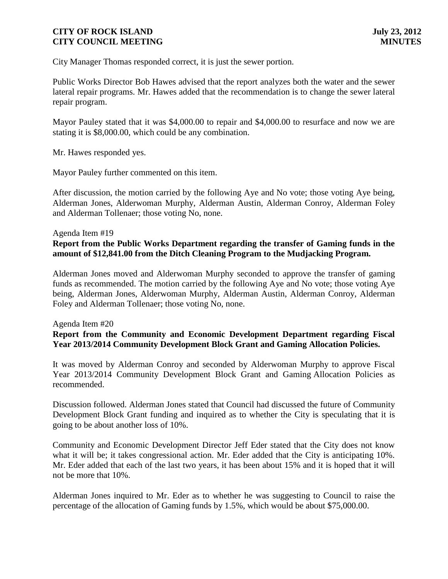City Manager Thomas responded correct, it is just the sewer portion.

Public Works Director Bob Hawes advised that the report analyzes both the water and the sewer lateral repair programs. Mr. Hawes added that the recommendation is to change the sewer lateral repair program.

Mayor Pauley stated that it was \$4,000.00 to repair and \$4,000.00 to resurface and now we are stating it is \$8,000.00, which could be any combination.

Mr. Hawes responded yes.

Mayor Pauley further commented on this item.

After discussion, the motion carried by the following Aye and No vote; those voting Aye being, Alderman Jones, Alderwoman Murphy, Alderman Austin, Alderman Conroy, Alderman Foley and Alderman Tollenaer; those voting No, none.

## Agenda Item #19 **Report from the Public Works Department regarding the transfer of Gaming funds in the amount of \$12,841.00 from the Ditch Cleaning Program to the Mudjacking Program.**

Alderman Jones moved and Alderwoman Murphy seconded to approve the transfer of gaming funds as recommended. The motion carried by the following Aye and No vote; those voting Aye being, Alderman Jones, Alderwoman Murphy, Alderman Austin, Alderman Conroy, Alderman Foley and Alderman Tollenaer; those voting No, none.

## Agenda Item #20 **Report from the Community and Economic Development Department regarding Fiscal Year 2013/2014 Community Development Block Grant and Gaming Allocation Policies.**

It was moved by Alderman Conroy and seconded by Alderwoman Murphy to approve Fiscal Year 2013/2014 Community Development Block Grant and Gaming Allocation Policies as recommended.

Discussion followed. Alderman Jones stated that Council had discussed the future of Community Development Block Grant funding and inquired as to whether the City is speculating that it is going to be about another loss of 10%.

Community and Economic Development Director Jeff Eder stated that the City does not know what it will be; it takes congressional action. Mr. Eder added that the City is anticipating 10%. Mr. Eder added that each of the last two years, it has been about 15% and it is hoped that it will not be more that 10%.

Alderman Jones inquired to Mr. Eder as to whether he was suggesting to Council to raise the percentage of the allocation of Gaming funds by 1.5%, which would be about \$75,000.00.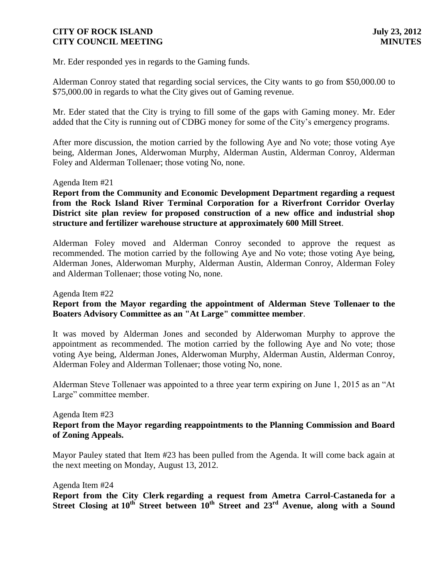Mr. Eder responded yes in regards to the Gaming funds.

Alderman Conroy stated that regarding social services, the City wants to go from \$50,000.00 to \$75,000.00 in regards to what the City gives out of Gaming revenue.

Mr. Eder stated that the City is trying to fill some of the gaps with Gaming money. Mr. Eder added that the City is running out of CDBG money for some of the City's emergency programs.

After more discussion, the motion carried by the following Aye and No vote; those voting Aye being, Alderman Jones, Alderwoman Murphy, Alderman Austin, Alderman Conroy, Alderman Foley and Alderman Tollenaer; those voting No, none.

Agenda Item #21

**Report from the Community and Economic Development Department regarding a request from the Rock Island River Terminal Corporation for a Riverfront Corridor Overlay District site plan review for proposed construction of a new office and industrial shop structure and fertilizer warehouse structure at approximately 600 Mill Street**.

Alderman Foley moved and Alderman Conroy seconded to approve the request as recommended. The motion carried by the following Aye and No vote; those voting Aye being, Alderman Jones, Alderwoman Murphy, Alderman Austin, Alderman Conroy, Alderman Foley and Alderman Tollenaer; those voting No, none.

Agenda Item #22

#### **Report from the Mayor regarding the appointment of Alderman Steve Tollenaer to the Boaters Advisory Committee as an "At Large" committee member**.

It was moved by Alderman Jones and seconded by Alderwoman Murphy to approve the appointment as recommended. The motion carried by the following Aye and No vote; those voting Aye being, Alderman Jones, Alderwoman Murphy, Alderman Austin, Alderman Conroy, Alderman Foley and Alderman Tollenaer; those voting No, none.

Alderman Steve Tollenaer was appointed to a three year term expiring on June 1, 2015 as an "At Large" committee member.

#### Agenda Item #23 **Report from the Mayor regarding reappointments to the Planning Commission and Board of Zoning Appeals.**

Mayor Pauley stated that Item #23 has been pulled from the Agenda. It will come back again at the next meeting on Monday, August 13, 2012.

Agenda Item #24 **Report from the City Clerk regarding a request from Ametra Carrol-Castaneda for a Street Closing at 10th Street between 10th Street and 23rd Avenue, along with a Sound**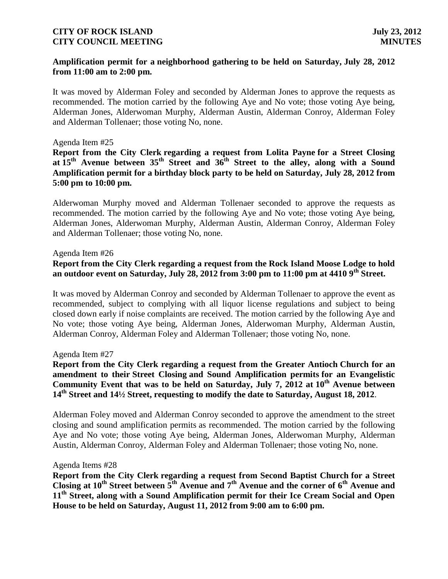#### **Amplification permit for a neighborhood gathering to be held on Saturday, July 28, 2012 from 11:00 am to 2:00 pm.**

It was moved by Alderman Foley and seconded by Alderman Jones to approve the requests as recommended. The motion carried by the following Aye and No vote; those voting Aye being, Alderman Jones, Alderwoman Murphy, Alderman Austin, Alderman Conroy, Alderman Foley and Alderman Tollenaer; those voting No, none.

#### Agenda Item #25

**Report from the City Clerk regarding a request from Lolita Payne for a Street Closing at 15th Avenue between 35th Street and 36th Street to the alley, along with a Sound Amplification permit for a birthday block party to be held on Saturday, July 28, 2012 from 5:00 pm to 10:00 pm.**

Alderwoman Murphy moved and Alderman Tollenaer seconded to approve the requests as recommended. The motion carried by the following Aye and No vote; those voting Aye being, Alderman Jones, Alderwoman Murphy, Alderman Austin, Alderman Conroy, Alderman Foley and Alderman Tollenaer; those voting No, none.

#### Agenda Item #26

## **Report from the City Clerk regarding a request from the Rock Island Moose Lodge to hold an outdoor event on Saturday, July 28, 2012 from 3:00 pm to 11:00 pm at 4410 9th Street.**

It was moved by Alderman Conroy and seconded by Alderman Tollenaer to approve the event as recommended, subject to complying with all liquor license regulations and subject to being closed down early if noise complaints are received. The motion carried by the following Aye and No vote; those voting Aye being, Alderman Jones, Alderwoman Murphy, Alderman Austin, Alderman Conroy, Alderman Foley and Alderman Tollenaer; those voting No, none.

#### Agenda Item #27

**Report from the City Clerk regarding a request from the Greater Antioch Church for an amendment to their Street Closing and Sound Amplification permits for an Evangelistic Community Event that was to be held on Saturday, July 7, 2012 at 10th Avenue between 14th Street and 14½ Street, requesting to modify the date to Saturday, August 18, 2012**.

Alderman Foley moved and Alderman Conroy seconded to approve the amendment to the street closing and sound amplification permits as recommended. The motion carried by the following Aye and No vote; those voting Aye being, Alderman Jones, Alderwoman Murphy, Alderman Austin, Alderman Conroy, Alderman Foley and Alderman Tollenaer; those voting No, none.

#### Agenda Items #28

**Report from the City Clerk regarding a request from Second Baptist Church for a Street Closing at 10th Street between 5th Avenue and 7th Avenue and the corner of 6th Avenue and 11th Street, along with a Sound Amplification permit for their Ice Cream Social and Open House to be held on Saturday, August 11, 2012 from 9:00 am to 6:00 pm.**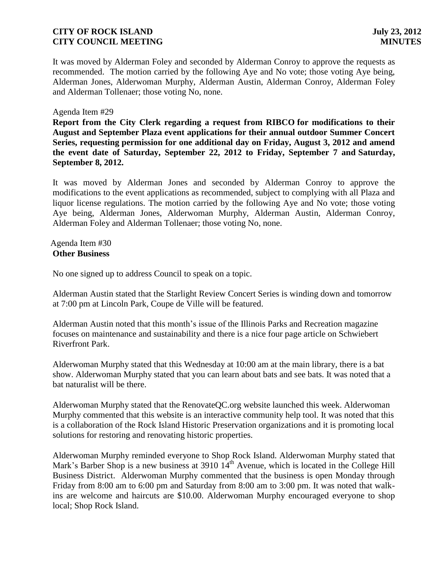It was moved by Alderman Foley and seconded by Alderman Conroy to approve the requests as recommended. The motion carried by the following Aye and No vote; those voting Aye being, Alderman Jones, Alderwoman Murphy, Alderman Austin, Alderman Conroy, Alderman Foley and Alderman Tollenaer; those voting No, none.

#### Agenda Item #29

**Report from the City Clerk regarding a request from RIBCO for modifications to their August and September Plaza event applications for their annual outdoor Summer Concert Series, requesting permission for one additional day on Friday, August 3, 2012 and amend the event date of Saturday, September 22, 2012 to Friday, September 7 and Saturday, September 8, 2012.** 

It was moved by Alderman Jones and seconded by Alderman Conroy to approve the modifications to the event applications as recommended, subject to complying with all Plaza and liquor license regulations. The motion carried by the following Aye and No vote; those voting Aye being, Alderman Jones, Alderwoman Murphy, Alderman Austin, Alderman Conroy, Alderman Foley and Alderman Tollenaer; those voting No, none.

#### Agenda Item #30 **Other Business**

No one signed up to address Council to speak on a topic.

Alderman Austin stated that the Starlight Review Concert Series is winding down and tomorrow at 7:00 pm at Lincoln Park, Coupe de Ville will be featured.

Alderman Austin noted that this month's issue of the Illinois Parks and Recreation magazine focuses on maintenance and sustainability and there is a nice four page article on Schwiebert Riverfront Park.

Alderwoman Murphy stated that this Wednesday at 10:00 am at the main library, there is a bat show. Alderwoman Murphy stated that you can learn about bats and see bats. It was noted that a bat naturalist will be there.

Alderwoman Murphy stated that the RenovateQC.org website launched this week. Alderwoman Murphy commented that this website is an interactive community help tool. It was noted that this is a collaboration of the Rock Island Historic Preservation organizations and it is promoting local solutions for restoring and renovating historic properties.

Alderwoman Murphy reminded everyone to Shop Rock Island. Alderwoman Murphy stated that Mark's Barber Shop is a new business at 3910  $14<sup>th</sup>$  Avenue, which is located in the College Hill Business District. Alderwoman Murphy commented that the business is open Monday through Friday from 8:00 am to 6:00 pm and Saturday from 8:00 am to 3:00 pm. It was noted that walkins are welcome and haircuts are \$10.00. Alderwoman Murphy encouraged everyone to shop local; Shop Rock Island.